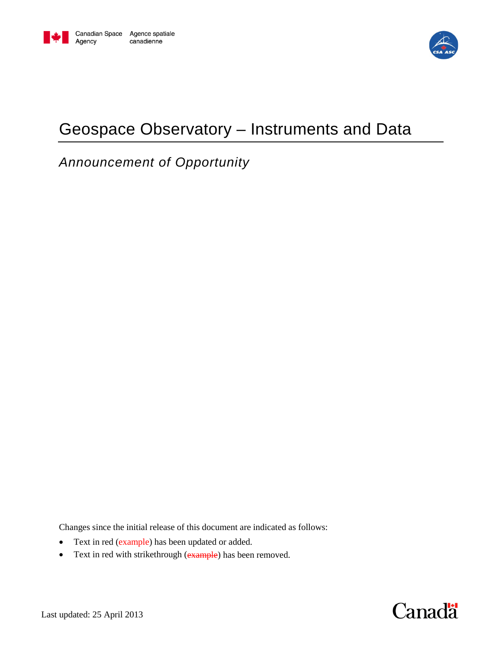

# Geospace Observatory – Instruments and Data

*Announcement of Opportunity*

Changes since the initial release of this document are indicated as follows:

- Text in red (example) has been updated or added.
- Text in red with strikethrough (example) has been removed.

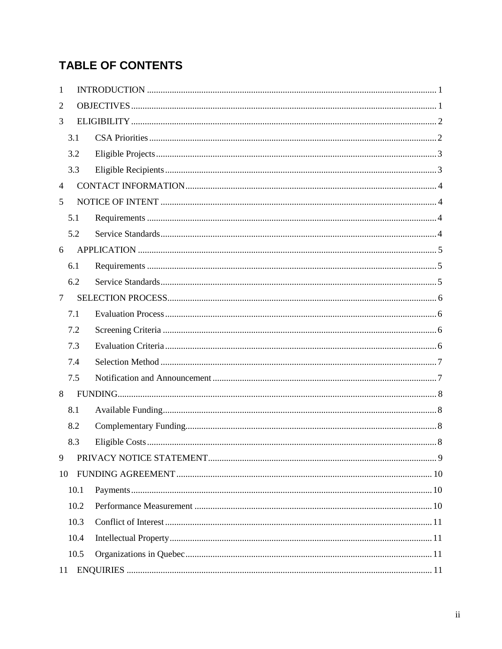## **TABLE OF CONTENTS**

| 1              |      |  |
|----------------|------|--|
| 2              |      |  |
| 3              |      |  |
|                | 3.1  |  |
|                | 3.2  |  |
|                | 3.3  |  |
| $\overline{4}$ |      |  |
| 5              |      |  |
|                | 5.1  |  |
|                | 5.2  |  |
| 6              |      |  |
|                | 6.1  |  |
|                | 6.2  |  |
| $\tau$         |      |  |
|                | 7.1  |  |
|                | 7.2  |  |
|                | 7.3  |  |
|                | 7.4  |  |
|                | 7.5  |  |
| 8              |      |  |
|                | 8.1  |  |
|                | 8.2  |  |
|                | 8.3  |  |
| 9              |      |  |
| 10             |      |  |
|                | 10.1 |  |
|                | 10.2 |  |
|                | 10.3 |  |
|                | 10.4 |  |
|                | 10.5 |  |
| 11             |      |  |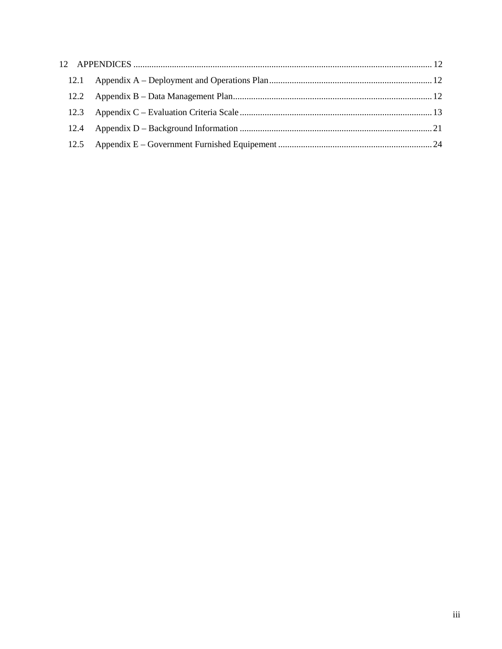| 12.1 |  |
|------|--|
| 12.2 |  |
| 12.3 |  |
| 12.4 |  |
| 12.5 |  |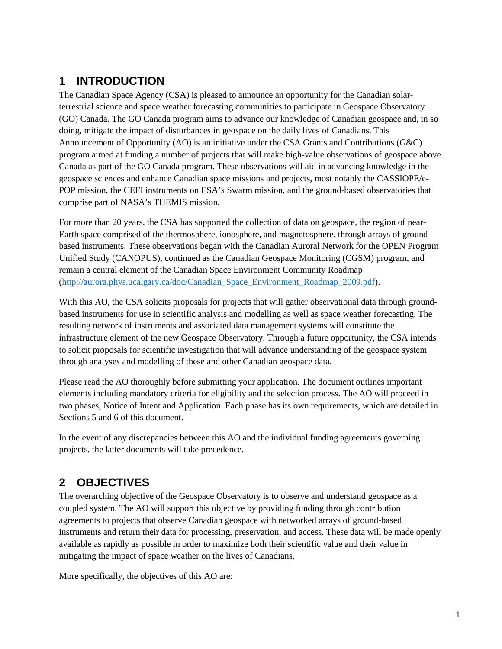## <span id="page-3-0"></span>**1 INTRODUCTION**

The Canadian Space Agency (CSA) is pleased to announce an opportunity for the Canadian solarterrestrial science and space weather forecasting communities to participate in Geospace Observatory (GO) Canada. The GO Canada program aims to advance our knowledge of Canadian geospace and, in so doing, mitigate the impact of disturbances in geospace on the daily lives of Canadians. This Announcement of Opportunity (AO) is an initiative under the CSA Grants and Contributions (G&C) program aimed at funding a number of projects that will make high-value observations of geospace above Canada as part of the GO Canada program. These observations will aid in advancing knowledge in the geospace sciences and enhance Canadian space missions and projects, most notably the CASSIOPE/e-POP mission, the CEFI instruments on ESA's Swarm mission, and the ground-based observatories that comprise part of NASA's THEMIS mission.

For more than 20 years, the CSA has supported the collection of data on geospace, the region of near-Earth space comprised of the thermosphere, ionosphere, and magnetosphere, through arrays of groundbased instruments. These observations began with the Canadian Auroral Network for the OPEN Program Unified Study (CANOPUS), continued as the Canadian Geospace Monitoring (CGSM) program, and remain a central element of the Canadian Space Environment Community Roadmap [\(http://aurora.phys.ucalgary.ca/doc/Canadian\\_Space\\_Environment\\_Roadmap\\_2009.pdf\)](http://aurora.phys.ucalgary.ca/doc/Canadian_Space_Environment_Roadmap_2009.pdf).

With this AO, the CSA solicits proposals for projects that will gather observational data through groundbased instruments for use in scientific analysis and modelling as well as space weather forecasting. The resulting network of instruments and associated data management systems will constitute the infrastructure element of the new Geospace Observatory. Through a future opportunity, the CSA intends to solicit proposals for scientific investigation that will advance understanding of the geospace system through analyses and modelling of these and other Canadian geospace data.

Please read the AO thoroughly before submitting your application. The document outlines important elements including mandatory criteria for eligibility and the selection process. The AO will proceed in two phases, Notice of Intent and Application. Each phase has its own requirements, which are detailed in Sections [5](#page-6-1) and [6](#page-7-0) of this document.

In the event of any discrepancies between this AO and the individual funding agreements governing projects, the latter documents will take precedence.

## <span id="page-3-1"></span>**2 OBJECTIVES**

The overarching objective of the Geospace Observatory is to observe and understand geospace as a coupled system. The AO will support this objective by providing funding through contribution agreements to projects that observe Canadian geospace with networked arrays of ground-based instruments and return their data for processing, preservation, and access. These data will be made openly available as rapidly as possible in order to maximize both their scientific value and their value in mitigating the impact of space weather on the lives of Canadians.

More specifically, the objectives of this AO are: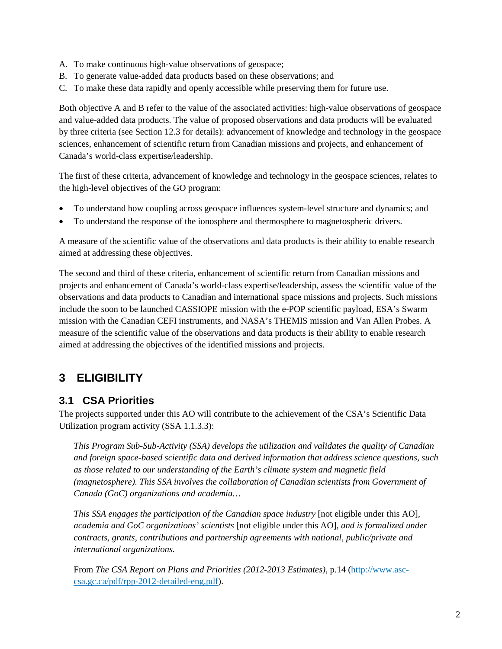- A. To make continuous high-value observations of geospace;
- B. To generate value-added data products based on these observations; and
- C. To make these data rapidly and openly accessible while preserving them for future use.

Both objective A and B refer to the value of the associated activities: high-value observations of geospace and value-added data products. The value of proposed observations and data products will be evaluated by three criteria (see Section [12.3](#page-15-0) for details): advancement of knowledge and technology in the geospace sciences, enhancement of scientific return from Canadian missions and projects, and enhancement of Canada's world-class expertise/leadership.

The first of these criteria, advancement of knowledge and technology in the geospace sciences, relates to the high-level objectives of the GO program:

- <span id="page-4-2"></span>• To understand how coupling across geospace influences system-level structure and dynamics; and
- <span id="page-4-3"></span>• To understand the response of the ionosphere and thermosphere to magnetospheric drivers.

A measure of the scientific value of the observations and data products is their ability to enable research aimed at addressing these objectives.

The second and third of these criteria, enhancement of scientific return from Canadian missions and projects and enhancement of Canada's world-class expertise/leadership, assess the scientific value of the observations and data products to Canadian and international space missions and projects. Such missions include the soon to be launched CASSIOPE mission with the e-POP scientific payload, ESA's Swarm mission with the Canadian CEFI instruments, and NASA's THEMIS mission and Van Allen Probes. A measure of the scientific value of the observations and data products is their ability to enable research aimed at addressing the objectives of the identified missions and projects.

### <span id="page-4-0"></span>**3 ELIGIBILITY**

#### <span id="page-4-1"></span>**3.1 CSA Priorities**

The projects supported under this AO will contribute to the achievement of the CSA's Scientific Data Utilization program activity (SSA 1.1.3.3):

*This Program Sub-Sub-Activity (SSA) develops the utilization and validates the quality of Canadian and foreign space-based scientific data and derived information that address science questions, such as those related to our understanding of the Earth's climate system and magnetic field (magnetosphere). This SSA involves the collaboration of Canadian scientists from Government of Canada (GoC) organizations and academia…*

*This SSA engages the participation of the Canadian space industry* [not eligible under this AO]*, academia and GoC organizations' scientists* [not eligible under this AO]*, and is formalized under contracts, grants, contributions and partnership agreements with national, public/private and international organizations.*

From *The CSA Report on Plans and Priorities (2012-2013 Estimates)*, p.14 [\(http://www.asc](http://www.asc-csa.gc.ca/pdf/rpp-2012-detailed-eng.pdf)[csa.gc.ca/pdf/rpp-2012-detailed-eng.pdf\)](http://www.asc-csa.gc.ca/pdf/rpp-2012-detailed-eng.pdf).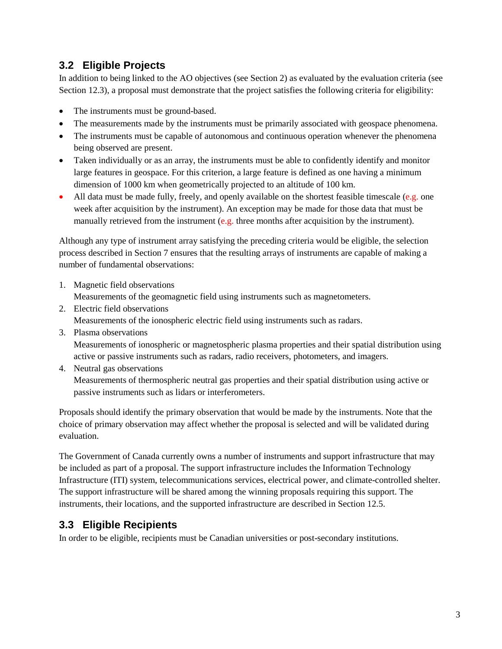#### <span id="page-5-0"></span>**3.2 Eligible Projects**

In addition to being linked to the AO objectives (see Section [2\)](#page-3-1) as evaluated by the evaluation criteria (see Sectio[n 12.3\)](#page-15-0), a proposal must demonstrate that the project satisfies the following criteria for eligibility:

- The instruments must be ground-based.
- The measurements made by the instruments must be primarily associated with geospace phenomena.
- The instruments must be capable of autonomous and continuous operation whenever the phenomena being observed are present.
- Taken individually or as an array, the instruments must be able to confidently identify and monitor large features in geospace. For this criterion, a large feature is defined as one having a minimum dimension of 1000 km when geometrically projected to an altitude of 100 km.
- All data must be made fully, freely, and openly available on the shortest feasible timescale (e.g. one week after acquisition by the instrument). An exception may be made for those data that must be manually retrieved from the instrument (e.g. three months after acquisition by the instrument).

Although any type of instrument array satisfying the preceding criteria would be eligible, the selection process described in Section [7](#page-8-0) ensures that the resulting arrays of instruments are capable of making a number of fundamental observations:

1. Magnetic field observations

Measurements of the geomagnetic field using instruments such as magnetometers.

- 2. Electric field observations Measurements of the ionospheric electric field using instruments such as radars.
- 3. Plasma observations

Measurements of ionospheric or magnetospheric plasma properties and their spatial distribution using active or passive instruments such as radars, radio receivers, photometers, and imagers.

4. Neutral gas observations Measurements of thermospheric neutral gas properties and their spatial distribution using active or passive instruments such as lidars or interferometers.

Proposals should identify the primary observation that would be made by the instruments. Note that the choice of primary observation may affect whether the proposal is selected and will be validated during evaluation.

The Government of Canada currently owns a number of instruments and support infrastructure that may be included as part of a proposal. The support infrastructure includes the Information Technology Infrastructure (ITI) system, telecommunications services, electrical power, and climate-controlled shelter. The support infrastructure will be shared among the winning proposals requiring this support. The instruments, their locations, and the supported infrastructure are described in Section [12.5.](#page-26-0)

### <span id="page-5-1"></span>**3.3 Eligible Recipients**

In order to be eligible, recipients must be Canadian universities or post-secondary institutions.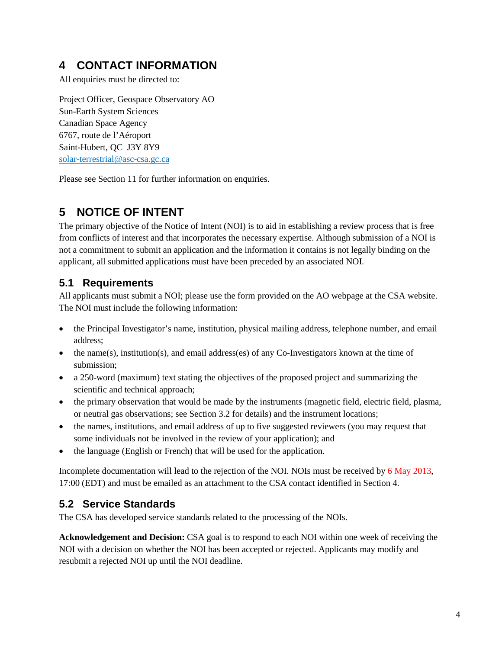## <span id="page-6-0"></span>**4 CONTACT INFORMATION**

All enquiries must be directed to:

Project Officer, Geospace Observatory AO Sun-Earth System Sciences Canadian Space Agency 6767, route de l'Aéroport Saint-Hubert, QC J3Y 8Y9 [solar-terrestrial@asc-csa.gc.ca](mailto:solar-terrestrial@asc-csa.gc.ca)

Please see Section [11](#page-13-3) for further information on enquiries.

## <span id="page-6-1"></span>**5 NOTICE OF INTENT**

The primary objective of the Notice of Intent (NOI) is to aid in establishing a review process that is free from conflicts of interest and that incorporates the necessary expertise. Although submission of a NOI is not a commitment to submit an application and the information it contains is not legally binding on the applicant, all submitted applications must have been preceded by an associated NOI.

#### <span id="page-6-2"></span>**5.1 Requirements**

All applicants must submit a NOI; please use the form provided on the AO webpage at the CSA website. The NOI must include the following information:

- the Principal Investigator's name, institution, physical mailing address, telephone number, and email address;
- the name(s), institution(s), and email address(es) of any Co-Investigators known at the time of submission;
- a 250-word (maximum) text stating the objectives of the proposed project and summarizing the scientific and technical approach;
- the primary observation that would be made by the instruments (magnetic field, electric field, plasma, or neutral gas observations; see Sectio[n 3.2](#page-5-0) for details) and the instrument locations;
- the names, institutions, and email address of up to five suggested reviewers (you may request that some individuals not be involved in the review of your application); and
- the language (English or French) that will be used for the application.

Incomplete documentation will lead to the rejection of the NOI. NOIs must be received by 6 May 2013, 17:00 (EDT) and must be emailed as an attachment to the CSA contact identified in Section [4.](#page-6-0)

### <span id="page-6-3"></span>**5.2 Service Standards**

The CSA has developed service standards related to the processing of the NOIs.

**Acknowledgement and Decision:** CSA goal is to respond to each NOI within one week of receiving the NOI with a decision on whether the NOI has been accepted or rejected. Applicants may modify and resubmit a rejected NOI up until the NOI deadline.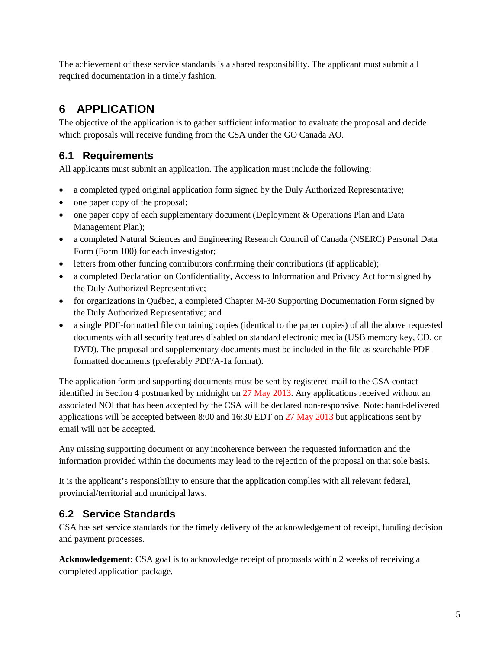The achievement of these service standards is a shared responsibility. The applicant must submit all required documentation in a timely fashion.

## <span id="page-7-0"></span>**6 APPLICATION**

The objective of the application is to gather sufficient information to evaluate the proposal and decide which proposals will receive funding from the CSA under the GO Canada AO.

### <span id="page-7-1"></span>**6.1 Requirements**

All applicants must submit an application. The application must include the following:

- a completed typed original application form signed by the Duly Authorized Representative;
- one paper copy of the proposal;
- one paper copy of each supplementary document (Deployment & Operations Plan and Data Management Plan);
- a completed Natural Sciences and Engineering Research Council of Canada (NSERC) Personal Data Form (Form 100) for each investigator;
- letters from other funding contributors confirming their contributions (if applicable);
- a completed Declaration on Confidentiality, Access to Information and Privacy Act form signed by the Duly Authorized Representative;
- for organizations in Québec, a completed Chapter M-30 Supporting Documentation Form signed by the Duly Authorized Representative; and
- a single PDF-formatted file containing copies (identical to the paper copies) of all the above requested documents with all security features disabled on standard electronic media (USB memory key, CD, or DVD). The proposal and supplementary documents must be included in the file as searchable PDFformatted documents (preferably PDF/A-1a format).

The application form and supporting documents must be sent by registered mail to the CSA contact identified in Section [4](#page-6-0) postmarked by midnight on 27 May 2013. Any applications received without an associated NOI that has been accepted by the CSA will be declared non-responsive. Note: hand-delivered applications will be accepted between 8:00 and 16:30 EDT on 27 May 2013 but applications sent by email will not be accepted.

Any missing supporting document or any incoherence between the requested information and the information provided within the documents may lead to the rejection of the proposal on that sole basis.

It is the applicant's responsibility to ensure that the application complies with all relevant federal, provincial/territorial and municipal laws.

### <span id="page-7-2"></span>**6.2 Service Standards**

CSA has set service standards for the timely delivery of the acknowledgement of receipt, funding decision and payment processes.

**Acknowledgement:** CSA goal is to acknowledge receipt of proposals within 2 weeks of receiving a completed application package.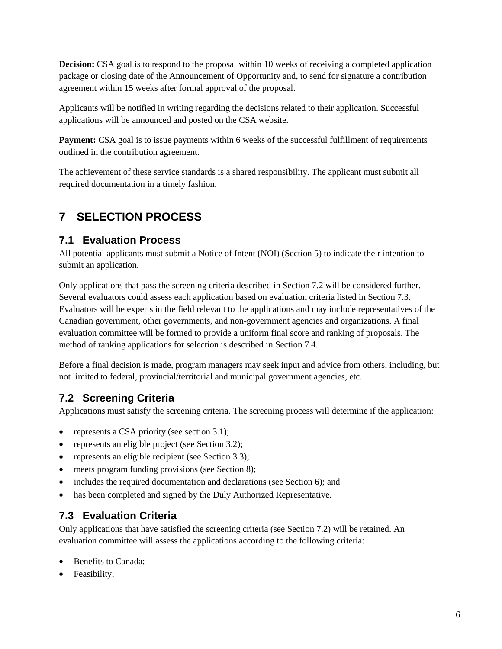**Decision:** CSA goal is to respond to the proposal within 10 weeks of receiving a completed application package or closing date of the Announcement of Opportunity and, to send for signature a contribution agreement within 15 weeks after formal approval of the proposal.

Applicants will be notified in writing regarding the decisions related to their application. Successful applications will be announced and posted on the CSA website.

Payment: CSA goal is to issue payments within 6 weeks of the successful fulfillment of requirements outlined in the contribution agreement.

The achievement of these service standards is a shared responsibility. The applicant must submit all required documentation in a timely fashion.

## <span id="page-8-0"></span>**7 SELECTION PROCESS**

#### <span id="page-8-1"></span>**7.1 Evaluation Process**

All potential applicants must submit a Notice of Intent (NOI) (Section [5\)](#page-6-1) to indicate their intention to submit an application.

Only applications that pass the screening criteria described in Section [7.2](#page-8-2) will be considered further. Several evaluators could assess each application based on evaluation criteria listed in Sectio[n 7.3.](#page-8-3) Evaluators will be experts in the field relevant to the applications and may include representatives of the Canadian government, other governments, and non-government agencies and organizations. A final evaluation committee will be formed to provide a uniform final score and ranking of proposals. The method of ranking applications for selection is described in Section [7.4.](#page-9-0)

Before a final decision is made, program managers may seek input and advice from others, including, but not limited to federal, provincial/territorial and municipal government agencies, etc.

### <span id="page-8-2"></span>**7.2 Screening Criteria**

Applications must satisfy the screening criteria. The screening process will determine if the application:

- represents a CSA priority (see section [3.1\)](#page-4-1);
- represents an eligible project (see Section [3.2\)](#page-5-0);
- represents an eligible recipient (see Sectio[n 3.3\)](#page-5-1);
- meets program funding provisions (see Section [8\)](#page-10-0);
- includes the required documentation and declarations (see Section [6\)](#page-7-0); and
- has been completed and signed by the Duly Authorized Representative.

### <span id="page-8-3"></span>**7.3 Evaluation Criteria**

Only applications that have satisfied the screening criteria (see Section [7.2\)](#page-8-2) will be retained. An evaluation committee will assess the applications according to the following criteria:

- Benefits to Canada;
- Feasibility;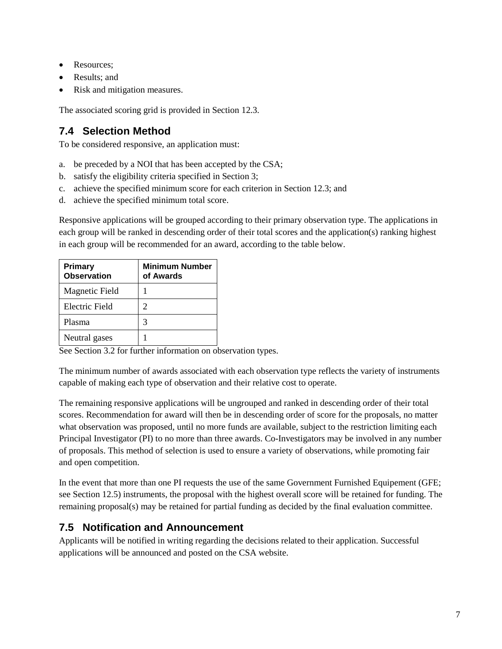- Resources:
- Results; and
- Risk and mitigation measures.

The associated scoring grid is provided in Section [12.3.](#page-15-0)

### <span id="page-9-0"></span>**7.4 Selection Method**

To be considered responsive, an application must:

- a. be preceded by a NOI that has been accepted by the CSA;
- b. satisfy the eligibility criteria specified in Section [3;](#page-4-0)
- c. achieve the specified minimum score for each criterion in Section [12.3;](#page-15-0) and
- d. achieve the specified minimum total score.

Responsive applications will be grouped according to their primary observation type. The applications in each group will be ranked in descending order of their total scores and the application(s) ranking highest in each group will be recommended for an award, according to the table below.

| <b>Primary</b><br><b>Observation</b> | <b>Minimum Number</b><br>of Awards |
|--------------------------------------|------------------------------------|
| Magnetic Field                       |                                    |
| Electric Field                       | 2                                  |
| Plasma                               | 3                                  |
| Neutral gases                        |                                    |

See Section [3.2](#page-5-0) for further information on observation types.

The minimum number of awards associated with each observation type reflects the variety of instruments capable of making each type of observation and their relative cost to operate.

The remaining responsive applications will be ungrouped and ranked in descending order of their total scores. Recommendation for award will then be in descending order of score for the proposals, no matter what observation was proposed, until no more funds are available, subject to the restriction limiting each Principal Investigator (PI) to no more than three awards. Co-Investigators may be involved in any number of proposals. This method of selection is used to ensure a variety of observations, while promoting fair and open competition.

In the event that more than one PI requests the use of the same Government Furnished Equipement (GFE; see Section [12.5\)](#page-26-0) instruments, the proposal with the highest overall score will be retained for funding. The remaining proposal(s) may be retained for partial funding as decided by the final evaluation committee.

#### <span id="page-9-1"></span>**7.5 Notification and Announcement**

Applicants will be notified in writing regarding the decisions related to their application. Successful applications will be announced and posted on the CSA website.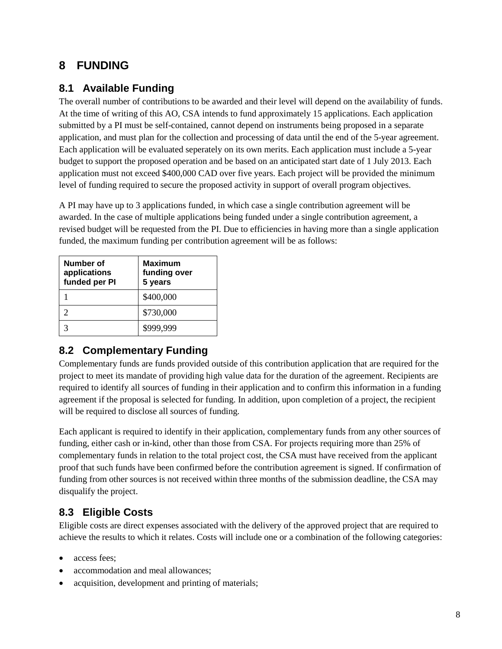## <span id="page-10-0"></span>**8 FUNDING**

### <span id="page-10-1"></span>**8.1 Available Funding**

The overall number of contributions to be awarded and their level will depend on the availability of funds. At the time of writing of this AO, CSA intends to fund approximately 15 applications. Each application submitted by a PI must be self-contained, cannot depend on instruments being proposed in a separate application, and must plan for the collection and processing of data until the end of the 5-year agreement. Each application will be evaluated seperately on its own merits. Each application must include a 5-year budget to support the proposed operation and be based on an anticipated start date of 1 July 2013. Each application must not exceed \$400,000 CAD over five years. Each project will be provided the minimum level of funding required to secure the proposed activity in support of overall program objectives.

A PI may have up to 3 applications funded, in which case a single contribution agreement will be awarded. In the case of multiple applications being funded under a single contribution agreement, a revised budget will be requested from the PI. Due to efficiencies in having more than a single application funded, the maximum funding per contribution agreement will be as follows:

| Number of<br>applications<br>funded per PI | <b>Maximum</b><br>funding over<br>5 years |
|--------------------------------------------|-------------------------------------------|
|                                            | \$400,000                                 |
|                                            | \$730,000                                 |
|                                            | \$999,999                                 |

### <span id="page-10-2"></span>**8.2 Complementary Funding**

Complementary funds are funds provided outside of this contribution application that are required for the project to meet its mandate of providing high value data for the duration of the agreement. Recipients are required to identify all sources of funding in their application and to confirm this information in a funding agreement if the proposal is selected for funding. In addition, upon completion of a project, the recipient will be required to disclose all sources of funding.

Each applicant is required to identify in their application, complementary funds from any other sources of funding, either cash or in-kind, other than those from CSA. For projects requiring more than 25% of complementary funds in relation to the total project cost, the CSA must have received from the applicant proof that such funds have been confirmed before the contribution agreement is signed. If confirmation of funding from other sources is not received within three months of the submission deadline, the CSA may disqualify the project.

### <span id="page-10-3"></span>**8.3 Eligible Costs**

Eligible costs are direct expenses associated with the delivery of the approved project that are required to achieve the results to which it relates. Costs will include one or a combination of the following categories:

- access fees:
- accommodation and meal allowances:
- acquisition, development and printing of materials;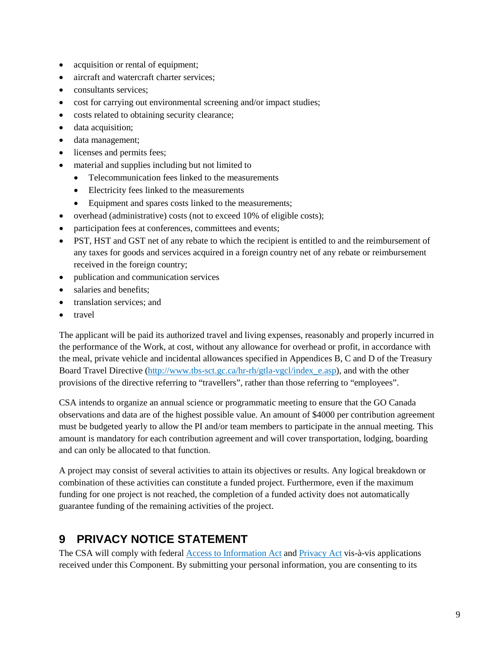- acquisition or rental of equipment;
- aircraft and watercraft charter services;
- consultants services:
- cost for carrying out environmental screening and/or impact studies;
- costs related to obtaining security clearance;
- data acquisition:
- data management;
- licenses and permits fees;
- material and supplies including but not limited to
	- Telecommunication fees linked to the measurements
	- Electricity fees linked to the measurements
	- Equipment and spares costs linked to the measurements;
- overhead (administrative) costs (not to exceed 10% of eligible costs);
- participation fees at conferences, committees and events;
- PST, HST and GST net of any rebate to which the recipient is entitled to and the reimbursement of any taxes for goods and services acquired in a foreign country net of any rebate or reimbursement received in the foreign country;
- publication and communication services
- salaries and benefits:
- translation services; and
- travel

The applicant will be paid its authorized travel and living expenses, reasonably and properly incurred in the performance of the Work, at cost, without any allowance for overhead or profit, in accordance with the meal, private vehicle and incidental allowances specified in Appendices B, C and D of the Treasury Board Travel Directive [\(http://www.tbs-sct.gc.ca/hr-rh/gtla-vgcl/index\\_e.asp\)](http://www.tbs-sct.gc.ca/hr-rh/gtla-vgcl/index_e.asp), and with the other provisions of the directive referring to "travellers", rather than those referring to "employees".

CSA intends to organize an annual science or programmatic meeting to ensure that the GO Canada observations and data are of the highest possible value. An amount of \$4000 per contribution agreement must be budgeted yearly to allow the PI and/or team members to participate in the annual meeting. This amount is mandatory for each contribution agreement and will cover transportation, lodging, boarding and can only be allocated to that function.

A project may consist of several activities to attain its objectives or results. Any logical breakdown or combination of these activities can constitute a funded project. Furthermore, even if the maximum funding for one project is not reached, the completion of a funded activity does not automatically guarantee funding of the remaining activities of the project.

### <span id="page-11-0"></span>**9 PRIVACY NOTICE STATEMENT**

The CSA will comply with federal [Access to Information Act](http://laws.justice.gc.ca/en/A-1/index.html) and [Privacy Act](http://laws.justice.gc.ca/en/P-21/index.html) vis-à-vis applications received under this Component. By submitting your personal information, you are consenting to its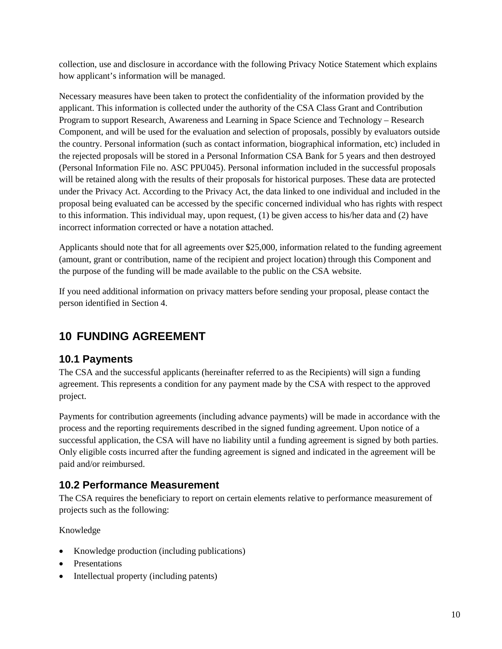collection, use and disclosure in accordance with the following Privacy Notice Statement which explains how applicant's information will be managed.

Necessary measures have been taken to protect the confidentiality of the information provided by the applicant. This information is collected under the authority of the CSA Class Grant and Contribution Program to support Research, Awareness and Learning in Space Science and Technology – Research Component, and will be used for the evaluation and selection of proposals, possibly by evaluators outside the country. Personal information (such as contact information, biographical information, etc) included in the rejected proposals will be stored in a Personal Information CSA Bank for 5 years and then destroyed (Personal Information File no. ASC PPU045). Personal information included in the successful proposals will be retained along with the results of their proposals for historical purposes. These data are protected under the Privacy Act. According to the Privacy Act, the data linked to one individual and included in the proposal being evaluated can be accessed by the specific concerned individual who has rights with respect to this information. This individual may, upon request, (1) be given access to his/her data and (2) have incorrect information corrected or have a notation attached.

Applicants should note that for all agreements over \$25,000, information related to the funding agreement (amount, grant or contribution, name of the recipient and project location) through this Component and the purpose of the funding will be made available to the public on the CSA website.

If you need additional information on privacy matters before sending your proposal, please contact the person identified in Section [4.](#page-6-0)

## <span id="page-12-0"></span>**10 FUNDING AGREEMENT**

#### <span id="page-12-1"></span>**10.1 Payments**

The CSA and the successful applicants (hereinafter referred to as the Recipients) will sign a funding agreement. This represents a condition for any payment made by the CSA with respect to the approved project.

Payments for contribution agreements (including advance payments) will be made in accordance with the process and the reporting requirements described in the signed funding agreement. Upon notice of a successful application, the CSA will have no liability until a funding agreement is signed by both parties. Only eligible costs incurred after the funding agreement is signed and indicated in the agreement will be paid and/or reimbursed.

#### <span id="page-12-2"></span>**10.2 Performance Measurement**

The CSA requires the beneficiary to report on certain elements relative to performance measurement of projects such as the following:

Knowledge

- Knowledge production (including publications)
- Presentations
- Intellectual property (including patents)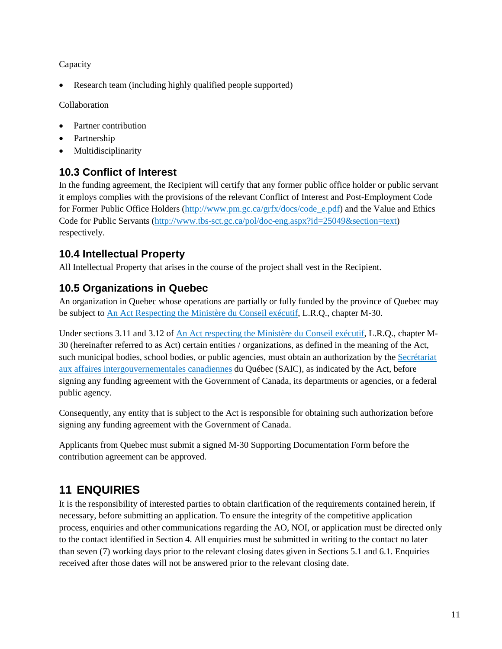Capacity

• Research team (including highly qualified people supported)

Collaboration

- Partner contribution
- Partnership
- **Multidisciplinarity**

### <span id="page-13-0"></span>**10.3 Conflict of Interest**

In the funding agreement, the Recipient will certify that any former public office holder or public servant it employs complies with the provisions of the relevant Conflict of Interest and Post-Employment Code for Former Public Office Holders [\(http://www.pm.gc.ca/grfx/docs/code\\_e.pdf\)](http://www.pm.gc.ca/grfx/docs/code_e.pdf) and the Value and Ethics Code for Public Servants [\(http://www.tbs-sct.gc.ca/pol/doc-eng.aspx?id=25049&section=text\)](http://www.tbs-sct.gc.ca/pol/doc-eng.aspx?id=25049§ion=text) respectively.

### <span id="page-13-1"></span>**10.4 Intellectual Property**

All Intellectual Property that arises in the course of the project shall vest in the Recipient.

#### <span id="page-13-2"></span>**10.5 Organizations in Quebec**

An organization in Quebec whose operations are partially or fully funded by the province of Quebec may be subject to [An Act Respecting the](http://www2.publicationsduquebec.gouv.qc.ca/dynamicSearch/telecharge.php?type=2&file=%2F%2FM_30%2FM30_A.htm) Ministère du Conseil exécutif, L.R.Q., chapter M-30.

Under sections 3.11 and 3.12 of [An Act respecting the Ministère du Conseil](http://www2.publicationsduquebec.gouv.qc.ca/dynamicSearch/telecharge.php?type=2&file=%2F%2FM_30%2FM30_A.htm) exécutif, L.R.Q., chapter M-30 (hereinafter referred to as Act) certain entities / organizations, as defined in the meaning of the Act, such municipal bodies, school bodies, or public agencies, must obtain an authorization by the [Secrétariat](http://www.saic.gouv.qc.ca/)  [aux affaires intergouvernementales canadiennes](http://www.saic.gouv.qc.ca/) du Québec (SAIC), as indicated by the Act, before signing any funding agreement with the Government of Canada, its departments or agencies, or a federal public agency.

Consequently, any entity that is subject to the Act is responsible for obtaining such authorization before signing any funding agreement with the Government of Canada.

Applicants from Quebec must submit a signed M-30 Supporting Documentation Form before the contribution agreement can be approved.

## <span id="page-13-3"></span>**11 ENQUIRIES**

It is the responsibility of interested parties to obtain clarification of the requirements contained herein, if necessary, before submitting an application. To ensure the integrity of the competitive application process, enquiries and other communications regarding the AO, NOI, or application must be directed only to the contact identified in Section [4.](#page-6-0) All enquiries must be submitted in writing to the contact no later than seven (7) working days prior to the relevant closing dates given in Sections [5.1](#page-6-2) an[d 6.1.](#page-7-1) Enquiries received after those dates will not be answered prior to the relevant closing date.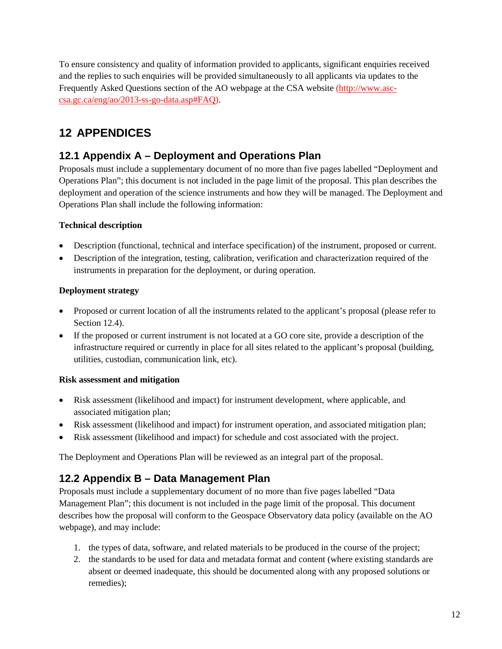To ensure consistency and quality of information provided to applicants, significant enquiries received and the replies to such enquiries will be provided simultaneously to all applicants via updates to the Frequently Asked Questions section of the AO webpage at the CSA website [\(http://www.asc](http://www.asc-csa.gc.ca/eng/ao/2013-ss-go-data.asp#FAQ)[csa.gc.ca/eng/ao/2013-ss-go-data.asp#FAQ\)](http://www.asc-csa.gc.ca/eng/ao/2013-ss-go-data.asp#FAQ).

## <span id="page-14-0"></span>**12 APPENDICES**

### <span id="page-14-1"></span>**12.1 Appendix A – Deployment and Operations Plan**

Proposals must include a supplementary document of no more than five pages labelled "Deployment and Operations Plan"; this document is not included in the page limit of the proposal. This plan describes the deployment and operation of the science instruments and how they will be managed. The Deployment and Operations Plan shall include the following information:

#### **Technical description**

- Description (functional, technical and interface specification) of the instrument, proposed or current.
- Description of the integration, testing, calibration, verification and characterization required of the instruments in preparation for the deployment, or during operation.

#### **Deployment strategy**

- Proposed or current location of all the instruments related to the applicant's proposal (please refer to Section [12.4\)](#page-23-0).
- If the proposed or current instrument is not located at a GO core site, provide a description of the infrastructure required or currently in place for all sites related to the applicant's proposal (building, utilities, custodian, communication link, etc).

#### **Risk assessment and mitigation**

- Risk assessment (likelihood and impact) for instrument development, where applicable, and associated mitigation plan;
- Risk assessment (likelihood and impact) for instrument operation, and associated mitigation plan;
- Risk assessment (likelihood and impact) for schedule and cost associated with the project.

The Deployment and Operations Plan will be reviewed as an integral part of the proposal.

### <span id="page-14-2"></span>**12.2 Appendix B – Data Management Plan**

Proposals must include a supplementary document of no more than five pages labelled "Data Management Plan"; this document is not included in the page limit of the proposal. This document describes how the proposal will conform to the Geospace Observatory data policy (available on the AO webpage), and may include:

- 1. the types of data, software, and related materials to be produced in the course of the project;
- 2. the standards to be used for data and metadata format and content (where existing standards are absent or deemed inadequate, this should be documented along with any proposed solutions or remedies);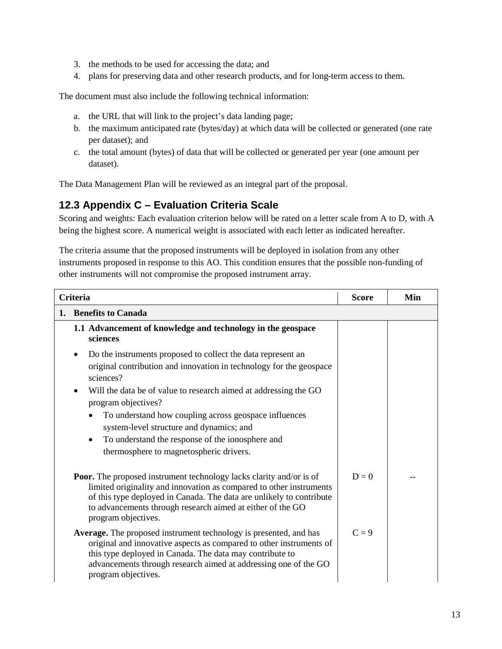- 3. the methods to be used for accessing the data; and
- 4. plans for preserving data and other research products, and for long-term access to them.

The document must also include the following technical information:

- a. the URL that will link to the project's data landing page;
- b. the maximum anticipated rate (bytes/day) at which data will be collected or generated (one rate per dataset); and
- c. the total amount (bytes) of data that will be collected or generated per year (one amount per dataset).

The Data Management Plan will be reviewed as an integral part of the proposal.

#### <span id="page-15-0"></span>**12.3 Appendix C – Evaluation Criteria Scale**

Scoring and weights: Each evaluation criterion below will be rated on a letter scale from A to D, with A being the highest score. A numerical weight is associated with each letter as indicated hereafter.

The criteria assume that the proposed instruments will be deployed in isolation from any other instruments proposed in response to this AO. This condition ensures that the possible non-funding of other instruments will not compromise the proposed instrument array.

| <b>Criteria</b>                                                                                                                                                                                                                                                                                                                                                                                                                                                   |         | Min |  |
|-------------------------------------------------------------------------------------------------------------------------------------------------------------------------------------------------------------------------------------------------------------------------------------------------------------------------------------------------------------------------------------------------------------------------------------------------------------------|---------|-----|--|
| <b>Benefits to Canada</b><br>1.                                                                                                                                                                                                                                                                                                                                                                                                                                   |         |     |  |
| 1.1 Advancement of knowledge and technology in the geospace<br>sciences                                                                                                                                                                                                                                                                                                                                                                                           |         |     |  |
| Do the instruments proposed to collect the data represent an<br>٠<br>original contribution and innovation in technology for the geospace<br>sciences?<br>Will the data be of value to research aimed at addressing the GO<br>program objectives?<br>To understand how coupling across geospace influences<br>system-level structure and dynamics; and<br>To understand the response of the ionosphere and<br>$\bullet$<br>thermosphere to magnetospheric drivers. |         |     |  |
| <b>Poor.</b> The proposed instrument technology lacks clarity and/or is of<br>limited originality and innovation as compared to other instruments<br>of this type deployed in Canada. The data are unlikely to contribute<br>to advancements through research aimed at either of the GO<br>program objectives.                                                                                                                                                    | $D=0$   |     |  |
| Average. The proposed instrument technology is presented, and has<br>original and innovative aspects as compared to other instruments of<br>this type deployed in Canada. The data may contribute to<br>advancements through research aimed at addressing one of the GO<br>program objectives.                                                                                                                                                                    | $C = 9$ |     |  |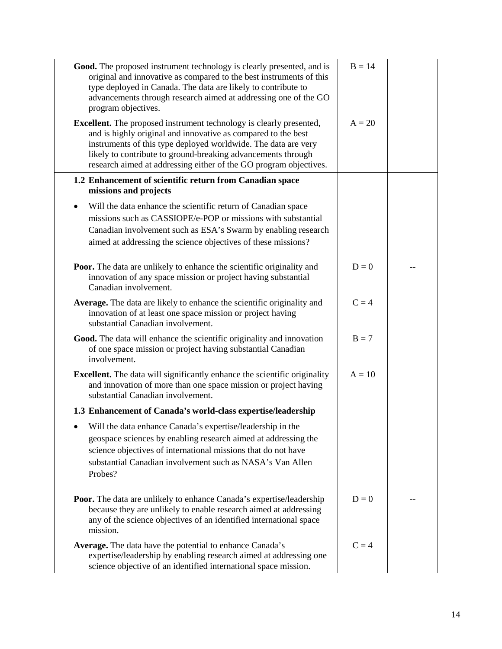| Good. The proposed instrument technology is clearly presented, and is<br>original and innovative as compared to the best instruments of this<br>type deployed in Canada. The data are likely to contribute to<br>advancements through research aimed at addressing one of the GO<br>program objectives.                                     | $B = 14$ |  |
|---------------------------------------------------------------------------------------------------------------------------------------------------------------------------------------------------------------------------------------------------------------------------------------------------------------------------------------------|----------|--|
| Excellent. The proposed instrument technology is clearly presented,<br>and is highly original and innovative as compared to the best<br>instruments of this type deployed worldwide. The data are very<br>likely to contribute to ground-breaking advancements through<br>research aimed at addressing either of the GO program objectives. | $A = 20$ |  |
| 1.2 Enhancement of scientific return from Canadian space<br>missions and projects                                                                                                                                                                                                                                                           |          |  |
| Will the data enhance the scientific return of Canadian space<br>missions such as CASSIOPE/e-POP or missions with substantial<br>Canadian involvement such as ESA's Swarm by enabling research<br>aimed at addressing the science objectives of these missions?                                                                             |          |  |
| <b>Poor.</b> The data are unlikely to enhance the scientific originality and<br>innovation of any space mission or project having substantial<br>Canadian involvement.                                                                                                                                                                      | $D=0$    |  |
| Average. The data are likely to enhance the scientific originality and<br>innovation of at least one space mission or project having<br>substantial Canadian involvement.                                                                                                                                                                   | $C = 4$  |  |
| Good. The data will enhance the scientific originality and innovation<br>of one space mission or project having substantial Canadian<br>involvement.                                                                                                                                                                                        | $B = 7$  |  |
| <b>Excellent.</b> The data will significantly enhance the scientific originality<br>and innovation of more than one space mission or project having<br>substantial Canadian involvement.                                                                                                                                                    | $A = 10$ |  |
| 1.3 Enhancement of Canada's world-class expertise/leadership                                                                                                                                                                                                                                                                                |          |  |
| • Will the data enhance Canada's expertise/leadership in the<br>geospace sciences by enabling research aimed at addressing the<br>science objectives of international missions that do not have<br>substantial Canadian involvement such as NASA's Van Allen<br>Probes?                                                                     |          |  |
| Poor. The data are unlikely to enhance Canada's expertise/leadership<br>because they are unlikely to enable research aimed at addressing<br>any of the science objectives of an identified international space<br>mission.                                                                                                                  | $D=0$    |  |
| <b>Average.</b> The data have the potential to enhance Canada's<br>expertise/leadership by enabling research aimed at addressing one<br>science objective of an identified international space mission.                                                                                                                                     | $C = 4$  |  |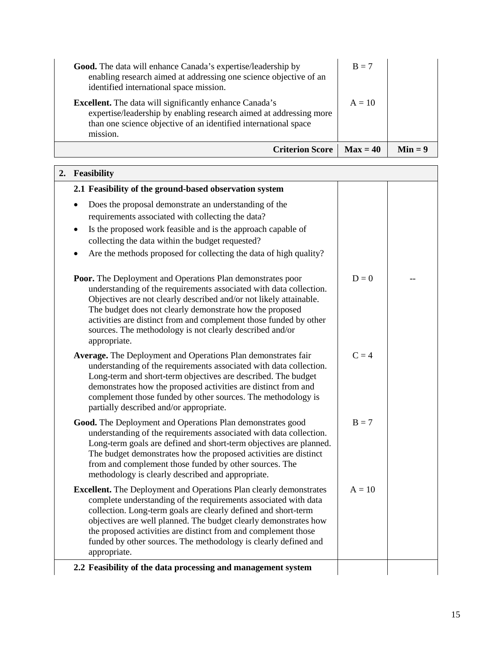|                                                                                                                                                                                                                                                                                                                                     | <b>Criterion Score</b> | $\mathbf{Max}=40$ | $Min = 9$ |
|-------------------------------------------------------------------------------------------------------------------------------------------------------------------------------------------------------------------------------------------------------------------------------------------------------------------------------------|------------------------|-------------------|-----------|
| enabling research aimed at addressing one science objective of an<br>identified international space mission.<br><b>Excellent.</b> The data will significantly enhance Canada's<br>expertise/leadership by enabling research aimed at addressing more<br>than one science objective of an identified international space<br>mission. |                        | $A = 10$          |           |
| <b>Good.</b> The data will enhance Canada's expertise/leadership by                                                                                                                                                                                                                                                                 |                        | $B = 7$           |           |

| 2. Feasibility                                                                                                                                                                                                                                                                                                                                                                                                                          |          |  |
|-----------------------------------------------------------------------------------------------------------------------------------------------------------------------------------------------------------------------------------------------------------------------------------------------------------------------------------------------------------------------------------------------------------------------------------------|----------|--|
| 2.1 Feasibility of the ground-based observation system                                                                                                                                                                                                                                                                                                                                                                                  |          |  |
| Does the proposal demonstrate an understanding of the<br>requirements associated with collecting the data?<br>Is the proposed work feasible and is the approach capable of<br>$\bullet$<br>collecting the data within the budget requested?<br>Are the methods proposed for collecting the data of high quality?                                                                                                                        |          |  |
| <b>Poor.</b> The Deployment and Operations Plan demonstrates poor<br>understanding of the requirements associated with data collection.<br>Objectives are not clearly described and/or not likely attainable.<br>The budget does not clearly demonstrate how the proposed<br>activities are distinct from and complement those funded by other<br>sources. The methodology is not clearly described and/or<br>appropriate.              | $D=0$    |  |
| Average. The Deployment and Operations Plan demonstrates fair<br>understanding of the requirements associated with data collection.<br>Long-term and short-term objectives are described. The budget<br>demonstrates how the proposed activities are distinct from and<br>complement those funded by other sources. The methodology is<br>partially described and/or appropriate.                                                       | $C = 4$  |  |
| Good. The Deployment and Operations Plan demonstrates good<br>understanding of the requirements associated with data collection.<br>Long-term goals are defined and short-term objectives are planned.<br>The budget demonstrates how the proposed activities are distinct<br>from and complement those funded by other sources. The<br>methodology is clearly described and appropriate.                                               | $B = 7$  |  |
| <b>Excellent.</b> The Deployment and Operations Plan clearly demonstrates<br>complete understanding of the requirements associated with data<br>collection. Long-term goals are clearly defined and short-term<br>objectives are well planned. The budget clearly demonstrates how<br>the proposed activities are distinct from and complement those<br>funded by other sources. The methodology is clearly defined and<br>appropriate. | $A = 10$ |  |
| 2.2 Feasibility of the data processing and management system                                                                                                                                                                                                                                                                                                                                                                            |          |  |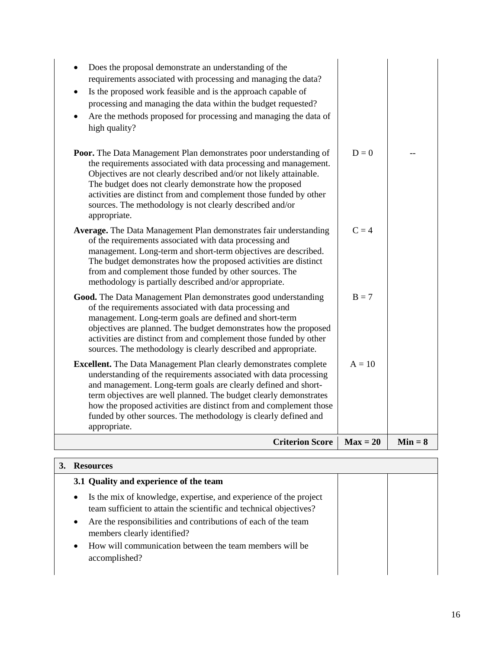| 3.1 Quality and experience of the team                                                                                                                                                                                                                             |  |
|--------------------------------------------------------------------------------------------------------------------------------------------------------------------------------------------------------------------------------------------------------------------|--|
| Is the mix of knowledge, expertise, and experience of the project<br>$\bullet$<br>team sufficient to attain the scientific and technical objectives?<br>Are the responsibilities and contributions of each of the team<br>$\bullet$<br>members clearly identified? |  |
| How will communication between the team members will be<br>$\bullet$<br>accomplished?                                                                                                                                                                              |  |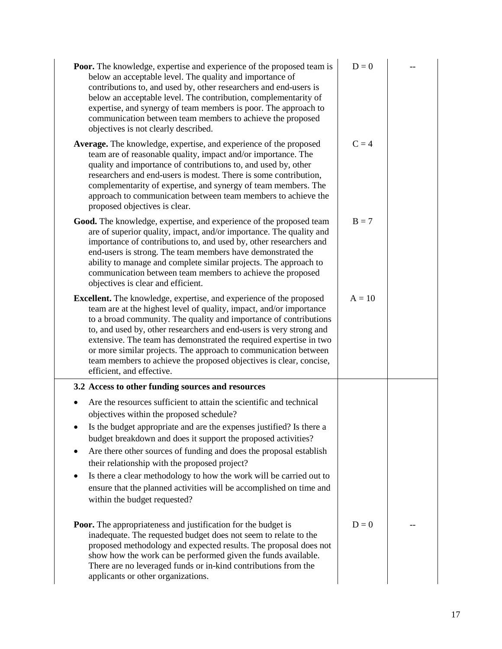| <b>Poor.</b> The knowledge, expertise and experience of the proposed team is<br>below an acceptable level. The quality and importance of<br>contributions to, and used by, other researchers and end-users is<br>below an acceptable level. The contribution, complementarity of<br>expertise, and synergy of team members is poor. The approach to<br>communication between team members to achieve the proposed<br>objectives is not clearly described.                                                                                                          | $D=0$    |  |
|--------------------------------------------------------------------------------------------------------------------------------------------------------------------------------------------------------------------------------------------------------------------------------------------------------------------------------------------------------------------------------------------------------------------------------------------------------------------------------------------------------------------------------------------------------------------|----------|--|
| Average. The knowledge, expertise, and experience of the proposed<br>team are of reasonable quality, impact and/or importance. The<br>quality and importance of contributions to, and used by, other<br>researchers and end-users is modest. There is some contribution,<br>complementarity of expertise, and synergy of team members. The<br>approach to communication between team members to achieve the<br>proposed objectives is clear.                                                                                                                       | $C = 4$  |  |
| Good. The knowledge, expertise, and experience of the proposed team<br>are of superior quality, impact, and/or importance. The quality and<br>importance of contributions to, and used by, other researchers and<br>end-users is strong. The team members have demonstrated the<br>ability to manage and complete similar projects. The approach to<br>communication between team members to achieve the proposed<br>objectives is clear and efficient.                                                                                                            | $B = 7$  |  |
| <b>Excellent.</b> The knowledge, expertise, and experience of the proposed<br>team are at the highest level of quality, impact, and/or importance<br>to a broad community. The quality and importance of contributions<br>to, and used by, other researchers and end-users is very strong and<br>extensive. The team has demonstrated the required expertise in two<br>or more similar projects. The approach to communication between<br>team members to achieve the proposed objectives is clear, concise,<br>efficient, and effective.                          | $A = 10$ |  |
| 3.2 Access to other funding sources and resources                                                                                                                                                                                                                                                                                                                                                                                                                                                                                                                  |          |  |
| Are the resources sufficient to attain the scientific and technical<br>objectives within the proposed schedule?<br>Is the budget appropriate and are the expenses justified? Is there a<br>budget breakdown and does it support the proposed activities?<br>Are there other sources of funding and does the proposal establish<br>٠<br>their relationship with the proposed project?<br>Is there a clear methodology to how the work will be carried out to<br>ensure that the planned activities will be accomplished on time and<br>within the budget requested? |          |  |
| <b>Poor.</b> The appropriateness and justification for the budget is<br>inadequate. The requested budget does not seem to relate to the<br>proposed methodology and expected results. The proposal does not<br>show how the work can be performed given the funds available.<br>There are no leveraged funds or in-kind contributions from the<br>applicants or other organizations.                                                                                                                                                                               | $D=0$    |  |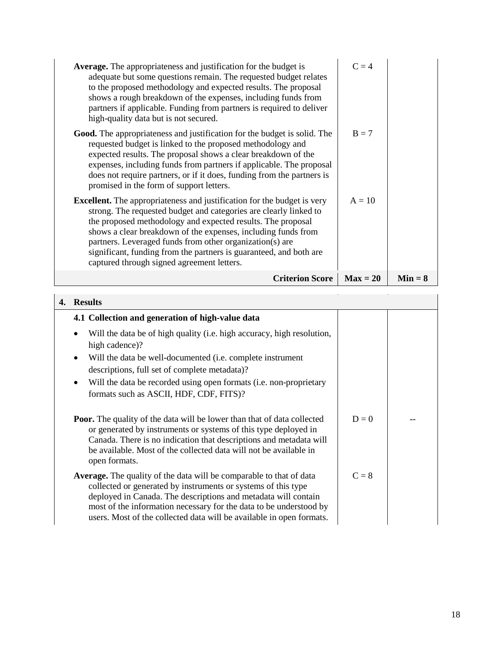| <b>Average.</b> The appropriateness and justification for the budget is<br>adequate but some questions remain. The requested budget relates<br>to the proposed methodology and expected results. The proposal<br>shows a rough breakdown of the expenses, including funds from<br>partners if applicable. Funding from partners is required to deliver<br>high-quality data but is not secured.                                                                     | $C = 4$    |           |
|---------------------------------------------------------------------------------------------------------------------------------------------------------------------------------------------------------------------------------------------------------------------------------------------------------------------------------------------------------------------------------------------------------------------------------------------------------------------|------------|-----------|
| <b>Good.</b> The appropriateness and justification for the budget is solid. The<br>requested budget is linked to the proposed methodology and<br>expected results. The proposal shows a clear breakdown of the<br>expenses, including funds from partners if applicable. The proposal<br>does not require partners, or if it does, funding from the partners is<br>promised in the form of support letters.                                                         | $B = 7$    |           |
| <b>Excellent.</b> The appropriateness and justification for the budget is very<br>strong. The requested budget and categories are clearly linked to<br>the proposed methodology and expected results. The proposal<br>shows a clear breakdown of the expenses, including funds from<br>partners. Leveraged funds from other organization(s) are<br>significant, funding from the partners is guaranteed, and both are<br>captured through signed agreement letters. | $A = 10$   |           |
| <b>Criterion Score</b>                                                                                                                                                                                                                                                                                                                                                                                                                                              | $Max = 20$ | $Min = 8$ |

| 4. | <b>Results</b>                                                                                                                                                                                                                                                                                                                                              |         |  |
|----|-------------------------------------------------------------------------------------------------------------------------------------------------------------------------------------------------------------------------------------------------------------------------------------------------------------------------------------------------------------|---------|--|
|    | 4.1 Collection and generation of high-value data                                                                                                                                                                                                                                                                                                            |         |  |
|    | Will the data be of high quality (i.e. high accuracy, high resolution,<br>٠<br>high cadence)?<br>Will the data be well-documented (i.e. complete instrument<br>$\bullet$<br>descriptions, full set of complete metadata)?<br>Will the data be recorded using open formats (i.e. non-proprietary<br>$\bullet$                                                |         |  |
|    | formats such as ASCII, HDF, CDF, FITS)?                                                                                                                                                                                                                                                                                                                     |         |  |
|    | <b>Poor.</b> The quality of the data will be lower than that of data collected<br>or generated by instruments or systems of this type deployed in<br>Canada. There is no indication that descriptions and metadata will<br>be available. Most of the collected data will not be available in<br>open formats.                                               | $D=0$   |  |
|    | <b>Average.</b> The quality of the data will be comparable to that of data<br>collected or generated by instruments or systems of this type<br>deployed in Canada. The descriptions and metadata will contain<br>most of the information necessary for the data to be understood by<br>users. Most of the collected data will be available in open formats. | $C = 8$ |  |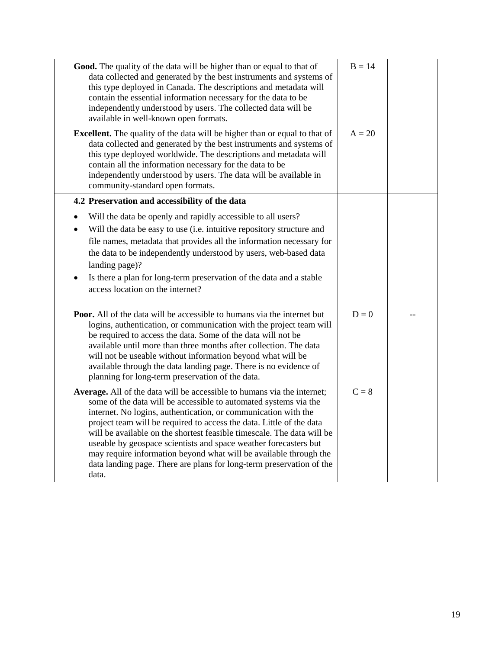| Good. The quality of the data will be higher than or equal to that of<br>data collected and generated by the best instruments and systems of<br>this type deployed in Canada. The descriptions and metadata will<br>contain the essential information necessary for the data to be<br>independently understood by users. The collected data will be<br>available in well-known open formats.                                                                                                                                                                                              | $B = 14$ |  |
|-------------------------------------------------------------------------------------------------------------------------------------------------------------------------------------------------------------------------------------------------------------------------------------------------------------------------------------------------------------------------------------------------------------------------------------------------------------------------------------------------------------------------------------------------------------------------------------------|----------|--|
| <b>Excellent.</b> The quality of the data will be higher than or equal to that of<br>data collected and generated by the best instruments and systems of<br>this type deployed worldwide. The descriptions and metadata will<br>contain all the information necessary for the data to be<br>independently understood by users. The data will be available in<br>community-standard open formats.                                                                                                                                                                                          | $A = 20$ |  |
| 4.2 Preservation and accessibility of the data                                                                                                                                                                                                                                                                                                                                                                                                                                                                                                                                            |          |  |
| Will the data be openly and rapidly accessible to all users?<br>Will the data be easy to use (i.e. intuitive repository structure and<br>file names, metadata that provides all the information necessary for<br>the data to be independently understood by users, web-based data<br>landing page)?<br>Is there a plan for long-term preservation of the data and a stable<br>access location on the internet?                                                                                                                                                                            |          |  |
| <b>Poor.</b> All of the data will be accessible to humans via the internet but<br>logins, authentication, or communication with the project team will<br>be required to access the data. Some of the data will not be<br>available until more than three months after collection. The data<br>will not be useable without information beyond what will be<br>available through the data landing page. There is no evidence of<br>planning for long-term preservation of the data.                                                                                                         | $D=0$    |  |
| Average. All of the data will be accessible to humans via the internet;<br>some of the data will be accessible to automated systems via the<br>internet. No logins, authentication, or communication with the<br>project team will be required to access the data. Little of the data<br>will be available on the shortest feasible timescale. The data will be<br>useable by geospace scientists and space weather forecasters but<br>may require information beyond what will be available through the<br>data landing page. There are plans for long-term preservation of the<br>data. | $C = 8$  |  |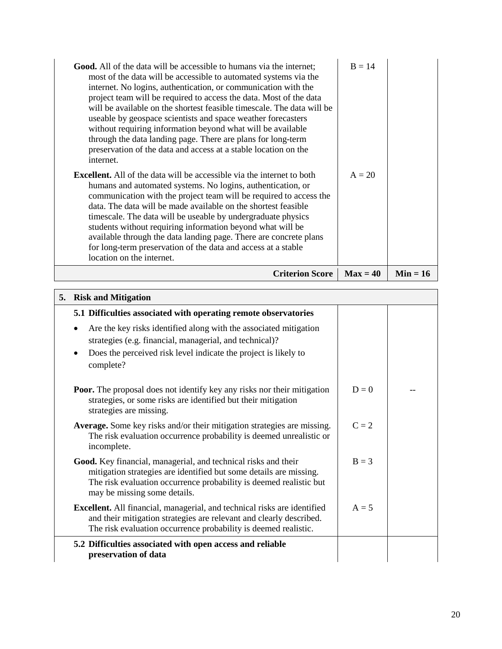| <b>Good.</b> All of the data will be accessible to humans via the internet;<br>most of the data will be accessible to automated systems via the<br>internet. No logins, authentication, or communication with the<br>project team will be required to access the data. Most of the data<br>will be available on the shortest feasible timescale. The data will be<br>useable by geospace scientists and space weather forecasters<br>without requiring information beyond what will be available<br>through the data landing page. There are plans for long-term<br>preservation of the data and access at a stable location on the<br>internet.<br><b>Excellent.</b> All of the data will be accessible via the internet to both<br>humans and automated systems. No logins, authentication, or<br>communication with the project team will be required to access the<br>data. The data will be made available on the shortest feasible<br>timescale. The data will be useable by undergraduate physics<br>students without requiring information beyond what will be<br>available through the data landing page. There are concrete plans<br>for long-term preservation of the data and access at a stable<br>location on the internet. | $B = 14$<br>$A = 20$ |            |
|-------------------------------------------------------------------------------------------------------------------------------------------------------------------------------------------------------------------------------------------------------------------------------------------------------------------------------------------------------------------------------------------------------------------------------------------------------------------------------------------------------------------------------------------------------------------------------------------------------------------------------------------------------------------------------------------------------------------------------------------------------------------------------------------------------------------------------------------------------------------------------------------------------------------------------------------------------------------------------------------------------------------------------------------------------------------------------------------------------------------------------------------------------------------------------------------------------------------------------------------|----------------------|------------|
| <b>Criterion Score</b>                                                                                                                                                                                                                                                                                                                                                                                                                                                                                                                                                                                                                                                                                                                                                                                                                                                                                                                                                                                                                                                                                                                                                                                                                    | $Max = 40$           | $Min = 16$ |

| 5. | <b>Risk and Mitigation</b>                                                                                                                                                                                                                 |         |  |  |  |  |  |  |  |
|----|--------------------------------------------------------------------------------------------------------------------------------------------------------------------------------------------------------------------------------------------|---------|--|--|--|--|--|--|--|
|    | 5.1 Difficulties associated with operating remote observatories                                                                                                                                                                            |         |  |  |  |  |  |  |  |
|    | Are the key risks identified along with the associated mitigation<br>strategies (e.g. financial, managerial, and technical)?<br>Does the perceived risk level indicate the project is likely to<br>complete?                               |         |  |  |  |  |  |  |  |
|    | <b>Poor.</b> The proposal does not identify key any risks nor their mitigation<br>strategies, or some risks are identified but their mitigation<br>strategies are missing.                                                                 | $D=0$   |  |  |  |  |  |  |  |
|    | <b>Average.</b> Some key risks and/or their mitigation strategies are missing.<br>The risk evaluation occurrence probability is deemed unrealistic or<br>incomplete.                                                                       | $C = 2$ |  |  |  |  |  |  |  |
|    | Good. Key financial, managerial, and technical risks and their<br>mitigation strategies are identified but some details are missing.<br>The risk evaluation occurrence probability is deemed realistic but<br>may be missing some details. | $B = 3$ |  |  |  |  |  |  |  |
|    | <b>Excellent.</b> All financial, managerial, and technical risks are identified<br>and their mitigation strategies are relevant and clearly described.<br>The risk evaluation occurrence probability is deemed realistic.                  | $A = 5$ |  |  |  |  |  |  |  |
|    | 5.2 Difficulties associated with open access and reliable<br>preservation of data                                                                                                                                                          |         |  |  |  |  |  |  |  |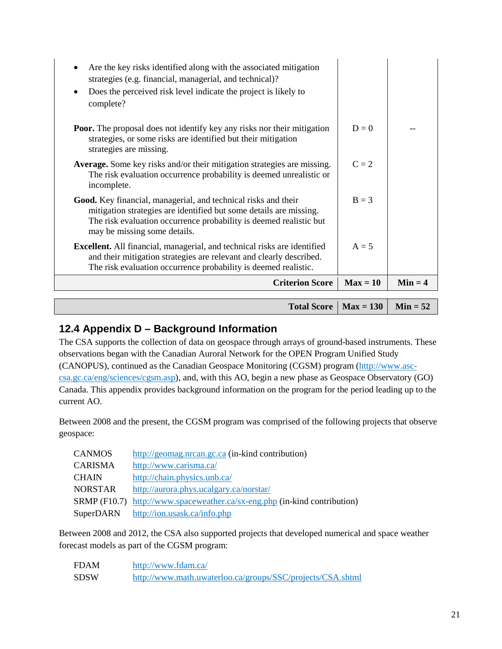| $C = 2$<br><b>Average.</b> Some key risks and/or their mitigation strategies are missing.<br>The risk evaluation occurrence probability is deemed unrealistic or<br>$B = 3$<br>$A = 5$<br><b>Criterion Score</b><br>$Max = 10$ | $Min = 4$                                                                      |
|--------------------------------------------------------------------------------------------------------------------------------------------------------------------------------------------------------------------------------|--------------------------------------------------------------------------------|
|                                                                                                                                                                                                                                |                                                                                |
|                                                                                                                                                                                                                                |                                                                                |
|                                                                                                                                                                                                                                |                                                                                |
|                                                                                                                                                                                                                                |                                                                                |
|                                                                                                                                                                                                                                |                                                                                |
| $D=0$                                                                                                                                                                                                                          |                                                                                |
|                                                                                                                                                                                                                                |                                                                                |
|                                                                                                                                                                                                                                | <b>Poor.</b> The proposal does not identify key any risks nor their mitigation |

 $10 \text{tan} \, \text{Score}$  | Max =  $130$  |

**Min = 52**

#### <span id="page-23-0"></span>**12.4 Appendix D – Background Information**

The CSA supports the collection of data on geospace through arrays of ground-based instruments. These observations began with the Canadian Auroral Network for the OPEN Program Unified Study (CANOPUS), continued as the Canadian Geospace Monitoring (CGSM) program [\(http://www.asc](http://www.asc-csa.gc.ca/eng/sciences/cgsm.asp)[csa.gc.ca/eng/sciences/cgsm.asp\)](http://www.asc-csa.gc.ca/eng/sciences/cgsm.asp), and, with this AO, begin a new phase as Geospace Observatory (GO) Canada. This appendix provides background information on the program for the period leading up to the current AO.

Between 2008 and the present, the CGSM program was comprised of the following projects that observe geospace:

| <b>CANMOS</b>  | http://geomag.nrcan.gc.ca (in-kind contribution)                                 |
|----------------|----------------------------------------------------------------------------------|
| <b>CARISMA</b> | http://www.carisma.ca/                                                           |
| <b>CHAIN</b>   | http://chain.physics.unb.ca/                                                     |
| <b>NORSTAR</b> | http://aurora.phys.ucalgary.ca/norstar/                                          |
|                | <b>SRMP</b> (F10.7) http://www.spaceweather.ca/sx-eng.php (in-kind contribution) |
| SuperDARN      | http://ion.usask.ca/info.php                                                     |

Between 2008 and 2012, the CSA also supported projects that developed numerical and space weather forecast models as part of the CGSM program:

| <b>FDAM</b> | http://www.fdam.ca/                                        |
|-------------|------------------------------------------------------------|
| <b>SDSW</b> | http://www.math.uwaterloo.ca/groups/SSC/projects/CSA.shtml |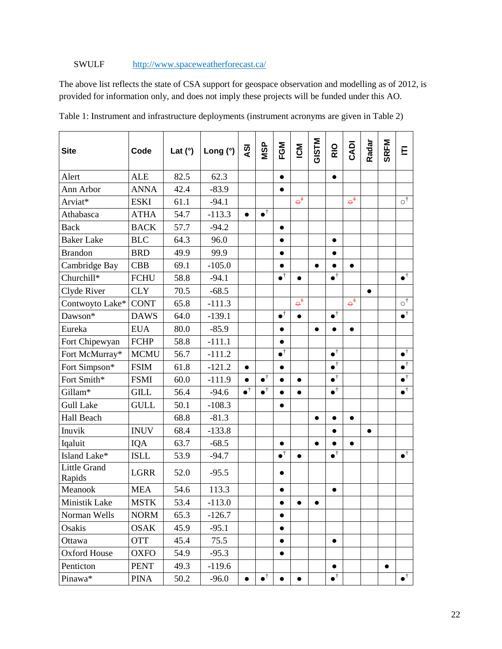#### SWULF <http://www.spaceweatherforecast.ca/>

The above list reflects the state of CSA support for geospace observation and modelling as of 2012, is provided for information only, and does not imply these projects will be funded under this AO.

| <b>Site</b>                   | Code        | Lat $(°)$ | Long $(°)$ | QV                  | <b>MSP</b>        | FGM                 | <b>NQ</b>            | <b>GISTM</b> | RIO               | CADI                 | Radar     | <b>SRFM</b> | Е                            |
|-------------------------------|-------------|-----------|------------|---------------------|-------------------|---------------------|----------------------|--------------|-------------------|----------------------|-----------|-------------|------------------------------|
| Alert                         | <b>ALE</b>  | 82.5      | 62.3       |                     |                   | $\bullet$           |                      |              | $\bullet$         |                      |           |             |                              |
| Ann Arbor                     | <b>ANNA</b> | 42.4      | $-83.9$    |                     |                   | $\bullet$           |                      |              |                   |                      |           |             |                              |
| Arviat*                       | <b>ESKI</b> | 61.1      | $-94.1$    |                     |                   |                     | $\varphi^{\ddagger}$ |              |                   | $\varphi^{\ddagger}$ |           |             | $\circ^{\dagger}$            |
| Athabasca                     | <b>ATHA</b> | 54.7      | $-113.3$   | $\bullet$           | $\bullet^\dagger$ |                     |                      |              |                   |                      |           |             |                              |
| <b>Back</b>                   | <b>BACK</b> | 57.7      | $-94.2$    |                     |                   | $\bullet$           |                      |              |                   |                      |           |             |                              |
| <b>Baker Lake</b>             | <b>BLC</b>  | 64.3      | 96.0       |                     |                   | $\bullet$           |                      |              | $\bullet$         |                      |           |             |                              |
| <b>Brandon</b>                | <b>BRD</b>  | 49.9      | 99.9       |                     |                   | $\bullet$           |                      |              | $\bullet$         |                      |           |             |                              |
| Cambridge Bay                 | <b>CBB</b>  | 69.1      | $-105.0$   |                     |                   | $\bullet$           |                      | $\bullet$    | $\bullet$         | $\bullet$            |           |             |                              |
| Churchill*                    | <b>FCHU</b> | 58.8      | $-94.1$    |                     |                   | $\bullet^\dagger$   | $\bullet$            |              | $\bullet^\dagger$ |                      |           |             | $\bullet^{\dagger}$          |
| Clyde River                   | <b>CLY</b>  | 70.5      | $-68.5$    |                     |                   |                     |                      |              |                   |                      | $\bullet$ |             |                              |
| Contwoyto Lake*               | <b>CONT</b> | 65.8      | $-111.3$   |                     |                   |                     | $\varphi^{\ddagger}$ |              |                   | $\varphi^+$          |           |             | $\circ^\dagger$              |
| Dawson*                       | <b>DAWS</b> | 64.0      | $-139.1$   |                     |                   | $\bullet^\dagger$   | $\bullet$            |              | $\bullet^\dagger$ |                      |           |             | $\bullet^{\dagger}$          |
| Eureka                        | <b>EUA</b>  | 80.0      | $-85.9$    |                     |                   | $\bullet$           |                      | $\bullet$    | $\bullet$         | $\bullet$            |           |             |                              |
| Fort Chipewyan                | <b>FCHP</b> | 58.8      | $-111.1$   |                     |                   | $\bullet$           |                      |              |                   |                      |           |             |                              |
| Fort McMurray*                | <b>MCMU</b> | 56.7      | $-111.2$   |                     |                   | $\bullet^\dagger$   |                      |              | $\bullet^\dagger$ |                      |           |             | $\bullet^\dagger$            |
| Fort Simpson*                 | <b>FSIM</b> | 61.8      | $-121.2$   | $\bullet$           |                   | $\bullet$           |                      |              | $\bullet^\dagger$ |                      |           |             | $\bullet^\dagger$            |
| Fort Smith*                   | <b>FSMI</b> | 60.0      | $-111.9$   | $\bullet$           | $\bullet^\dagger$ | $\bullet$           | $\bullet$            |              | $\bullet^\dagger$ |                      |           |             | $\overline{\bullet^\dagger}$ |
| Gillam*                       | <b>GILL</b> | 56.4      | $-94.6$    | $\bullet^{\dagger}$ | $\bullet^\dagger$ |                     |                      |              | $\bullet^\dagger$ |                      |           |             | $\bullet^{\dagger}$          |
| <b>Gull Lake</b>              | <b>GULL</b> | 50.1      | $-108.3$   |                     |                   | $\bullet$           |                      |              |                   |                      |           |             |                              |
| Hall Beach                    |             | 68.8      | $-81.3$    |                     |                   |                     |                      | $\bullet$    | $\bullet$         | $\bullet$            |           |             |                              |
| Inuvik                        | <b>INUV</b> | 68.4      | $-133.8$   |                     |                   |                     |                      |              | $\bullet$         |                      | $\bullet$ |             |                              |
| Iqaluit                       | IQA         | 63.7      | $-68.5$    |                     |                   | $\bullet$           |                      | $\bullet$    | $\bullet$         | $\bullet$            |           |             |                              |
| Island Lake*                  | <b>ISLL</b> | 53.9      | $-94.7$    |                     |                   | $\bullet^{\dagger}$ |                      |              | $\bullet^\dagger$ |                      |           |             | $\bullet^\dagger$            |
| <b>Little Grand</b><br>Rapids | <b>LGRR</b> | 52.0      | $-95.5$    |                     |                   | $\bullet$           |                      |              |                   |                      |           |             |                              |
| Meanook                       | <b>MEA</b>  | 54.6      | 113.3      |                     |                   | $\bullet$           |                      |              | $\bullet$         |                      |           |             |                              |
| Ministik Lake                 | <b>MSTK</b> | 53.4      | $-113.0$   |                     |                   | $\bullet$           | $\bullet$            | $\bullet$    |                   |                      |           |             |                              |
| Norman Wells                  | <b>NORM</b> | 65.3      | $-126.7$   |                     |                   | $\bullet$           |                      |              |                   |                      |           |             |                              |
| Osakis                        | <b>OSAK</b> | 45.9      | $-95.1$    |                     |                   |                     |                      |              |                   |                      |           |             |                              |
| Ottawa                        | <b>OTT</b>  | 45.4      | 75.5       |                     |                   | $\bullet$           |                      |              | $\bullet$         |                      |           |             |                              |
| Oxford House                  | OXFO        | 54.9      | $-95.3$    |                     |                   | $\bullet$           |                      |              |                   |                      |           |             |                              |
| Penticton                     | <b>PENT</b> | 49.3      | $-119.6$   |                     |                   |                     |                      |              | $\bullet$         |                      |           | $\bullet$   |                              |
| Pinawa*                       | PINA        | 50.2      | $-96.0$    |                     | $\bullet^\dagger$ | $\bullet$           |                      |              | $\bullet^\dagger$ |                      |           |             | $\bullet^\dagger$            |

Table 1: Instrument and infrastructure deployments (instrument acronyms are given in Table 2)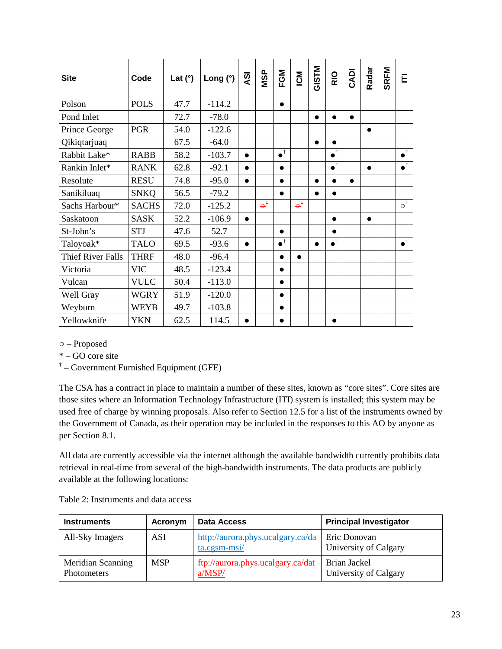| <b>Site</b>              | Code         | Lat $(°)$ | Long $(°)$ | <b>ISY</b> | <b>NSP</b>           | FGM               | ICM                  | <b>GISTM</b> | RIO                 | CADI      | Radar     | <b>SRFM</b> | Е                        |
|--------------------------|--------------|-----------|------------|------------|----------------------|-------------------|----------------------|--------------|---------------------|-----------|-----------|-------------|--------------------------|
| Polson                   | <b>POLS</b>  | 47.7      | $-114.2$   |            |                      | $\bullet$         |                      |              |                     |           |           |             |                          |
| Pond Inlet               |              | 72.7      | $-78.0$    |            |                      |                   |                      | $\bullet$    | $\bullet$           | $\bullet$ |           |             |                          |
| Prince George            | <b>PGR</b>   | 54.0      | $-122.6$   |            |                      |                   |                      |              |                     |           | $\bullet$ |             |                          |
| Qikiqtarjuaq             |              | 67.5      | $-64.0$    |            |                      |                   |                      | $\bullet$    |                     |           |           |             |                          |
| Rabbit Lake*             | <b>RABB</b>  | 58.2      | $-103.7$   | $\bullet$  |                      | $\bullet^\dagger$ |                      |              | $\bullet^\dagger$   |           |           |             | $\bullet^{\dagger}$      |
| Rankin Inlet*            | <b>RANK</b>  | 62.8      | $-92.1$    | $\bullet$  |                      | $\bullet$         |                      |              | $\bullet^{\dagger}$ |           | $\bullet$ |             | $\bullet^{\dagger}$      |
| Resolute                 | <b>RESU</b>  | 74.8      | $-95.0$    | $\bullet$  |                      | $\bullet$         |                      | $\bullet$    | $\bullet$           | $\bullet$ |           |             |                          |
| Sanikiluaq               | <b>SNKQ</b>  | 56.5      | $-79.2$    |            |                      |                   |                      | $\bullet$    | $\bullet$           |           |           |             |                          |
| Sachs Harbour*           | <b>SACHS</b> | 72.0      | $-125.2$   |            | $\varphi^{\ddagger}$ |                   | $\varphi^{\ddagger}$ |              |                     |           |           |             | $\overline{O}^{\dagger}$ |
| Saskatoon                | <b>SASK</b>  | 52.2      | $-106.9$   | $\bullet$  |                      |                   |                      |              | $\bullet$           |           | $\bullet$ |             |                          |
| St-John's                | <b>STJ</b>   | 47.6      | 52.7       |            |                      | $\bullet$         |                      |              | $\bullet$           |           |           |             |                          |
| Taloyoak*                | <b>TALO</b>  | 69.5      | $-93.6$    | $\bullet$  |                      | $\bullet^\dagger$ |                      | $\bullet$    | $\bullet^{\dagger}$ |           |           |             | $\bullet^{\dagger}$      |
| <b>Thief River Falls</b> | <b>THRF</b>  | 48.0      | $-96.4$    |            |                      | $\bullet$         | $\bullet$            |              |                     |           |           |             |                          |
| Victoria                 | <b>VIC</b>   | 48.5      | $-123.4$   |            |                      | $\bullet$         |                      |              |                     |           |           |             |                          |
| Vulcan                   | <b>VULC</b>  | 50.4      | $-113.0$   |            |                      | $\bullet$         |                      |              |                     |           |           |             |                          |
| Well Gray                | <b>WGRY</b>  | 51.9      | $-120.0$   |            |                      | $\bullet$         |                      |              |                     |           |           |             |                          |
| Weyburn                  | <b>WEYB</b>  | 49.7      | $-103.8$   |            |                      | $\bullet$         |                      |              |                     |           |           |             |                          |
| Yellowknife              | <b>YKN</b>   | 62.5      | 114.5      | $\bullet$  |                      |                   |                      |              | $\bullet$           |           |           |             |                          |

○ – Proposed

\* – GO core site

† – Government Furnished Equipment (GFE)

The CSA has a contract in place to maintain a number of these sites, known as "core sites". Core sites are those sites where an Information Technology Infrastructure (ITI) system is installed; this system may be used free of charge by winning proposals. Also refer to Section [12.5](#page-26-0) for a list of the instruments owned by the Government of Canada, as their operation may be included in the responses to this AO by anyone as per Section [8.1.](#page-10-1)

All data are currently accessible via the internet although the available bandwidth currently prohibits data retrieval in real-time from several of the high-bandwidth instruments. The data products are publicly available at the following locations:

Table 2: Instruments and data access

| <b>Instruments</b>                      | Acronym    | <b>Data Access</b>                                | <b>Principal Investigator</b>         |
|-----------------------------------------|------------|---------------------------------------------------|---------------------------------------|
| All-Sky Imagers                         | <b>ASI</b> | http://aurora.phys.ucalgary.ca/da<br>ta.cgsm-msi/ | Eric Donovan<br>University of Calgary |
| Meridian Scanning<br><b>Photometers</b> | <b>MSP</b> | ftp://aurora.phys.ucalgary.ca/dat<br>a/MSP/       | Brian Jackel<br>University of Calgary |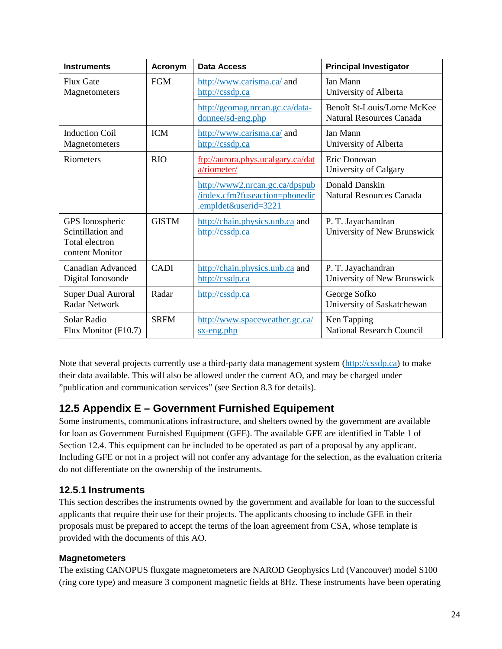| <b>Instruments</b>                                                        | Acronym      | <b>Data Access</b>                                                                       | <b>Principal Investigator</b>                                  |
|---------------------------------------------------------------------------|--------------|------------------------------------------------------------------------------------------|----------------------------------------------------------------|
| <b>Flux Gate</b><br>Magnetometers                                         | <b>FGM</b>   | http://www.carisma.ca/ and<br>http://cssdp.ca                                            | Ian Mann<br>University of Alberta                              |
|                                                                           |              | http://geomag.nrcan.gc.ca/data-<br>donnee/sd-eng.php                                     | Benoît St-Louis/Lorne McKee<br><b>Natural Resources Canada</b> |
| <b>Induction Coil</b><br>Magnetometers                                    | <b>ICM</b>   | http://www.carisma.ca/ and<br>http://cssdp.ca                                            | Ian Mann<br>University of Alberta                              |
| Riometers                                                                 | <b>RIO</b>   | ftp://aurora.phys.ucalgary.ca/dat<br>a/riometer/                                         | Eric Donovan<br>University of Calgary                          |
|                                                                           |              | http://www2.nrcan.gc.ca/dpspub<br>/index.cfm?fuseaction=phonedir<br>.empldet&userid=3221 | Donald Danskin<br><b>Natural Resources Canada</b>              |
| GPS Ionospheric<br>Scintillation and<br>Total electron<br>content Monitor | <b>GISTM</b> | http://chain.physics.unb.ca and<br>http://cssdp.ca                                       | P. T. Jayachandran<br>University of New Brunswick              |
| Canadian Advanced<br>Digital Ionosonde                                    | <b>CADI</b>  | http://chain.physics.unb.ca and<br>http://cssdp.ca                                       | P. T. Jayachandran<br>University of New Brunswick              |
| <b>Super Dual Auroral</b><br><b>Radar Network</b>                         | Radar        | http://cssdp.ca                                                                          | George Sofko<br>University of Saskatchewan                     |
| Solar Radio<br>Flux Monitor (F10.7)                                       | <b>SRFM</b>  | http://www.spaceweather.gc.ca/<br>sx-eng.php                                             | Ken Tapping<br><b>National Research Council</b>                |

Note that several projects currently use a third-party data management system [\(http://cssdp.ca\)](http://cssdp.ca/) to make their data available. This will also be allowed under the current AO, and may be charged under "publication and communication services" (see Section [8.3](#page-10-3) for details).

### <span id="page-26-0"></span>**12.5 Appendix E – Government Furnished Equipement**

Some instruments, communications infrastructure, and shelters owned by the government are available for loan as Government Furnished Equipment (GFE). The available GFE are identified in Table 1 of Sectio[n 12.4.](#page-23-0) This equipment can be included to be operated as part of a proposal by any applicant. Including GFE or not in a project will not confer any advantage for the selection, as the evaluation criteria do not differentiate on the ownership of the instruments.

#### **12.5.1 Instruments**

This section describes the instruments owned by the government and available for loan to the successful applicants that require their use for their projects. The applicants choosing to include GFE in their proposals must be prepared to accept the terms of the loan agreement from CSA, whose template is provided with the documents of this AO.

#### **Magnetometers**

The existing CANOPUS fluxgate magnetometers are NAROD Geophysics Ltd (Vancouver) model S100 (ring core type) and measure 3 component magnetic fields at 8Hz. These instruments have been operating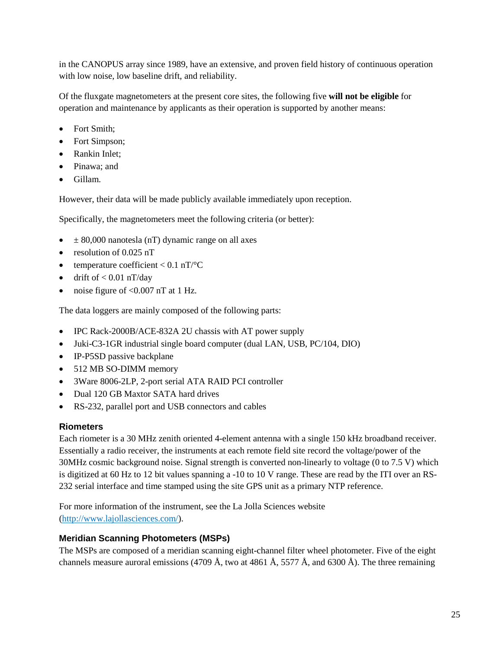in the CANOPUS array since 1989, have an extensive, and proven field history of continuous operation with low noise, low baseline drift, and reliability.

Of the fluxgate magnetometers at the present core sites, the following five **will not be eligible** for operation and maintenance by applicants as their operation is supported by another means:

- Fort Smith;
- Fort Simpson;
- Rankin Inlet;
- Pinawa: and
- Gillam.

However, their data will be made publicly available immediately upon reception.

Specifically, the magnetometers meet the following criteria (or better):

- $\bullet$   $\pm$  80,000 nanotesla (nT) dynamic range on all axes
- resolution of 0.025 nT
- temperature coefficient  $< 0.1$  nT/ $\rm ^{\circ}C$
- drift of  $< 0.01$  nT/day
- noise figure of  $< 0.007$  nT at 1 Hz.

The data loggers are mainly composed of the following parts:

- IPC Rack-2000B/ACE-832A 2U chassis with AT power supply
- Juki-C3-1GR industrial single board computer (dual LAN, USB, PC/104, DIO)
- IP-P5SD passive backplane
- 512 MB SO-DIMM memory
- 3Ware 8006-2LP, 2-port serial ATA RAID PCI controller
- Dual 120 GB Maxtor SATA hard drives
- RS-232, parallel port and USB connectors and cables

#### **Riometers**

Each riometer is a 30 MHz zenith oriented 4-element antenna with a single 150 kHz broadband receiver. Essentially a radio receiver, the instruments at each remote field site record the voltage/power of the 30MHz cosmic background noise. Signal strength is converted non-linearly to voltage (0 to 7.5 V) which is digitized at 60 Hz to 12 bit values spanning a -10 to 10 V range. These are read by the ITI over an RS-232 serial interface and time stamped using the site GPS unit as a primary NTP reference.

For more information of the instrument, see the La Jolla Sciences website [\(http://www.lajollasciences.com/\)](http://www.lajollasciences.com/).

#### **Meridian Scanning Photometers (MSPs)**

The MSPs are composed of a meridian scanning eight-channel filter wheel photometer. Five of the eight channels measure auroral emissions (4709 Å, two at 4861 Å, 5577 Å, and 6300 Å). The three remaining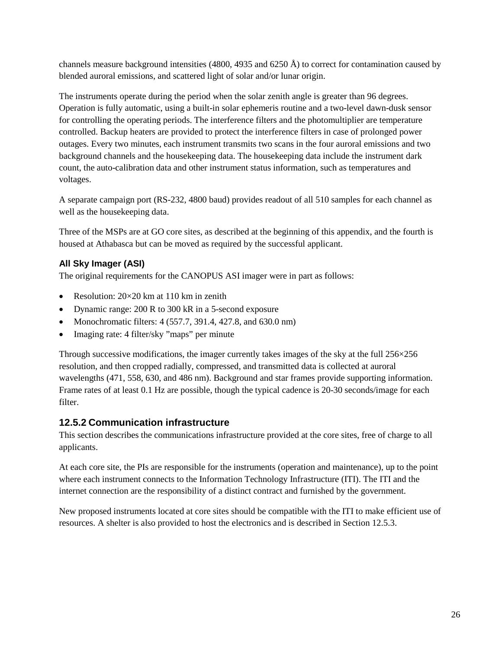channels measure background intensities (4800, 4935 and 6250 Å) to correct for contamination caused by blended auroral emissions, and scattered light of solar and/or lunar origin.

The instruments operate during the period when the solar zenith angle is greater than 96 degrees. Operation is fully automatic, using a built-in solar ephemeris routine and a two-level dawn-dusk sensor for controlling the operating periods. The interference filters and the photomultiplier are temperature controlled. Backup heaters are provided to protect the interference filters in case of prolonged power outages. Every two minutes, each instrument transmits two scans in the four auroral emissions and two background channels and the housekeeping data. The housekeeping data include the instrument dark count, the auto-calibration data and other instrument status information, such as temperatures and voltages.

A separate campaign port (RS-232, 4800 baud) provides readout of all 510 samples for each channel as well as the housekeeping data.

Three of the MSPs are at GO core sites, as described at the beginning of this appendix, and the fourth is housed at Athabasca but can be moved as required by the successful applicant.

#### **All Sky Imager (ASI)**

The original requirements for the CANOPUS ASI imager were in part as follows:

- Resolution:  $20 \times 20$  km at 110 km in zenith
- Dynamic range: 200 R to 300 kR in a 5-second exposure
- Monochromatic filters: 4 (557.7, 391.4, 427.8, and 630.0 nm)
- Imaging rate: 4 filter/sky "maps" per minute

Through successive modifications, the imager currently takes images of the sky at the full 256×256 resolution, and then cropped radially, compressed, and transmitted data is collected at auroral wavelengths (471, 558, 630, and 486 nm). Background and star frames provide supporting information. Frame rates of at least 0.1 Hz are possible, though the typical cadence is 20-30 seconds/image for each filter.

#### **12.5.2 Communication infrastructure**

This section describes the communications infrastructure provided at the core sites, free of charge to all applicants.

At each core site, the PIs are responsible for the instruments (operation and maintenance), up to the point where each instrument connects to the Information Technology Infrastructure (ITI). The ITI and the internet connection are the responsibility of a distinct contract and furnished by the government.

New proposed instruments located at core sites should be compatible with the ITI to make efficient use of resources. A shelter is also provided to host the electronics and is described in Section [12.5.3.](#page-30-0)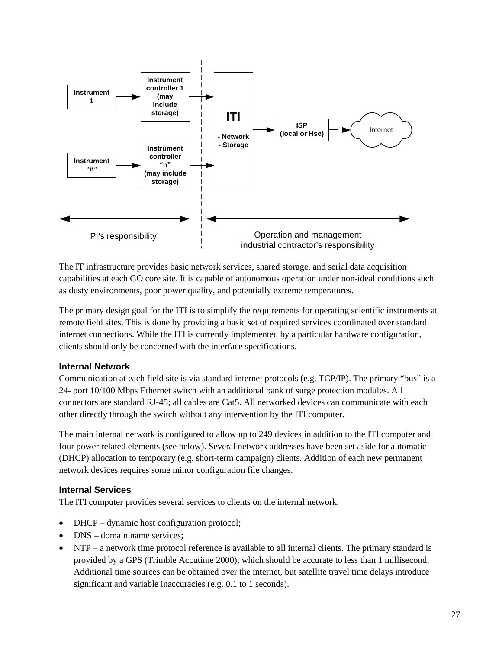

The IT infrastructure provides basic network services, shared storage, and serial data acquisition capabilities at each GO core site. It is capable of autonomous operation under non-ideal conditions such as dusty environments, poor power quality, and potentially extreme temperatures.

The primary design goal for the ITI is to simplify the requirements for operating scientific instruments at remote field sites. This is done by providing a basic set of required services coordinated over standard internet connections. While the ITI is currently implemented by a particular hardware configuration, clients should only be concerned with the interface specifications.

#### **Internal Network**

Communication at each field site is via standard internet protocols (e.g. TCP/IP). The primary "bus" is a 24- port 10/100 Mbps Ethernet switch with an additional bank of surge protection modules. All connectors are standard RJ-45; all cables are Cat5. All networked devices can communicate with each other directly through the switch without any intervention by the ITI computer.

The main internal network is configured to allow up to 249 devices in addition to the ITI computer and four power related elements (see below). Several network addresses have been set aside for automatic (DHCP) allocation to temporary (e.g. short-term campaign) clients. Addition of each new permanent network devices requires some minor configuration file changes.

#### **Internal Services**

The ITI computer provides several services to clients on the internal network.

- DHCP dynamic host configuration protocol;
- DNS domain name services:
- NTP a network time protocol reference is available to all internal clients. The primary standard is provided by a GPS (Trimble Accutime 2000), which should be accurate to less than 1 millisecond. Additional time sources can be obtained over the internet, but satellite travel time delays introduce significant and variable inaccuracies (e.g. 0.1 to 1 seconds).